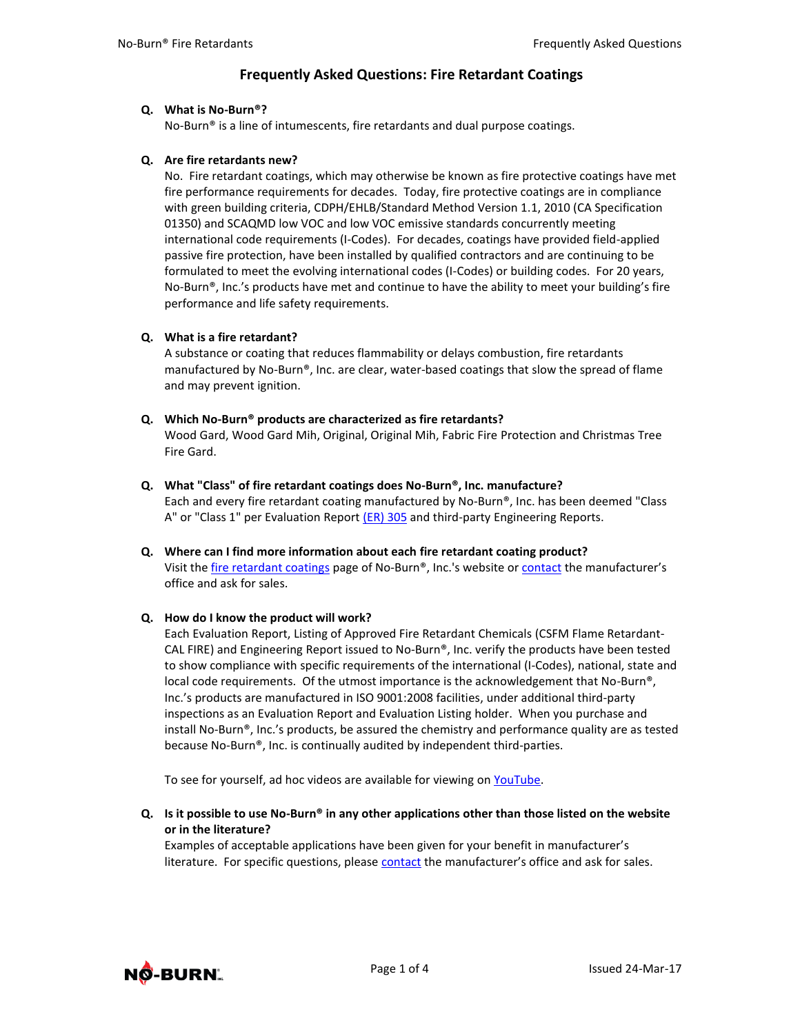# **Frequently Asked Questions: Fire Retardant Coatings**

#### **Q. What is No-Burn®?**

No-Burn® is a line of intumescents, fire retardants and dual purpose coatings.

### **Q. Are fire retardants new?**

No. Fire retardant coatings, which may otherwise be known as fire protective coatings have met fire performance requirements for decades. Today, fire protective coatings are in compliance with green building criteria, CDPH/EHLB/Standard Method Version 1.1, 2010 (CA Specification 01350) and SCAQMD low VOC and low VOC emissive standards concurrently meeting international code requirements (I-Codes). For decades, coatings have provided field-applied passive fire protection, have been installed by qualified contractors and are continuing to be formulated to meet the evolving international codes (I-Codes) or building codes. For 20 years, No-Burn®, Inc.'s products have met and continue to have the ability to meet your building's fire performance and life safety requirements.

### **Q. What is a fire retardant?**

A substance or coating that reduces flammability or delays combustion, fire retardants manufactured by No-Burn®, Inc. are clear, water-based coatings that slow the spread of flame and may prevent ignition.

- **Q. Which No-Burn® products are characterized as fire retardants?** Wood Gard, Wood Gard Mih, Original, Original Mih, Fabric Fire Protection and Christmas Tree Fire Gard.
- **Q. What "Class" of fire retardant coatings does No-Burn®, Inc. manufacture?** Each and every fire retardant coating manufactured by No-Burn®, Inc. has been deemed "Class A" or "Class 1" per Evaluation Report [\(ER\)](http://www.noburn.com/images/pdf/er305.pdf) 305 and third-party Engineering Reports.
- **Q. Where can I find more information about each fire retardant coating product?** Visit th[e fire retardant coatings](http://noburn.com/index.php/products/fire-retardant-coatings) page of No-Burn®, Inc.'s website o[r contact](http://noburn.com/contact) the manufacturer's office and ask for sales.

# **Q. How do I know the product will work?**

Each Evaluation Report, Listing of Approved Fire Retardant Chemicals (CSFM Flame Retardant-CAL FIRE) and Engineering Report issued to No-Burn®, Inc. verify the products have been tested to show compliance with specific requirements of the international (I-Codes), national, state and local code requirements. Of the utmost importance is the acknowledgement that No-Burn<sup>®</sup>, Inc.'s products are manufactured in ISO 9001:2008 facilities, under additional third-party inspections as an Evaluation Report and Evaluation Listing holder. When you purchase and install No-Burn®, Inc.'s products, be assured the chemistry and performance quality are as tested because No-Burn®, Inc. is continually audited by independent third-parties.

To see for yourself, ad hoc videos are available for viewing on [YouTube.](http://www.youtube.com/user/noburninc2)

**Q. Is it possible to use No-Burn® in any other applications other than those listed on the website or in the literature?**

Examples of acceptable applications have been given for your benefit in manufacturer's literature. For specific questions, please [contact](http://www.noburn.com/contact) the manufacturer's office and ask for sales.

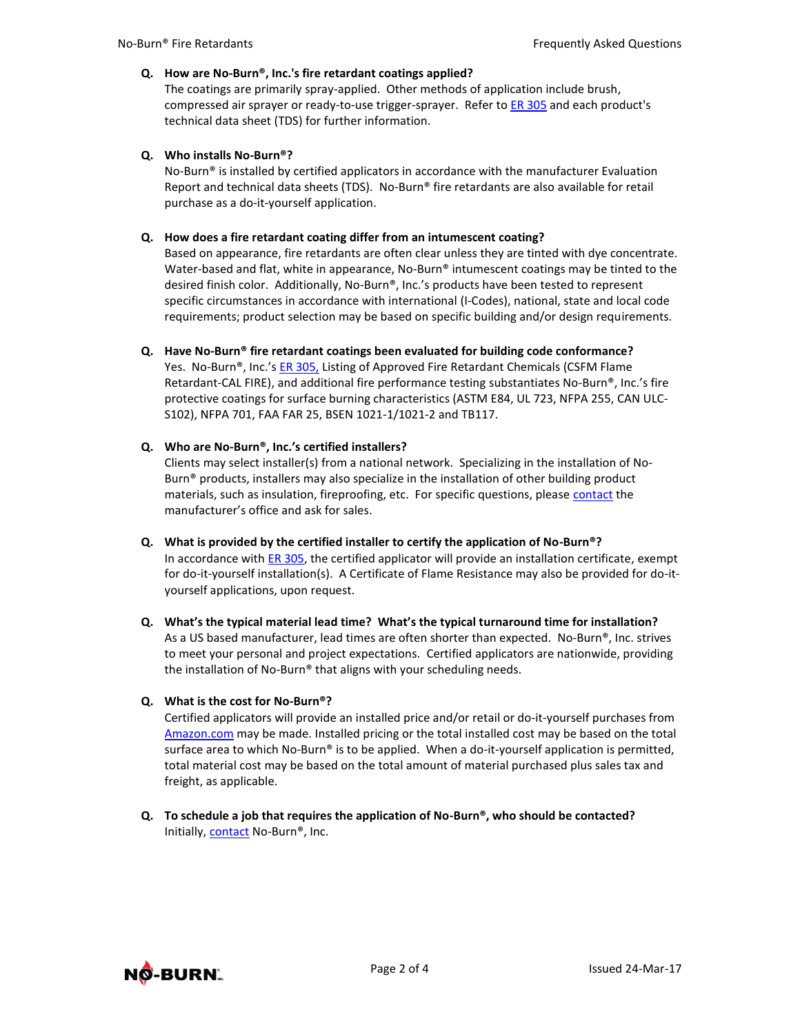#### **Q. How are No-Burn®, Inc.'s fire retardant coatings applied?**

The coatings are primarily spray-applied. Other methods of application include brush, compressed air sprayer or ready-to-use trigger-sprayer. Refer to [ER 305 a](http://www.noburn.com/images/pdf/er305.pdf)nd each product's technical data sheet (TDS) for further information.

### **Q. Who installs No-Burn®?**

No-Burn® is installed by certified applicators in accordance with the manufacturer Evaluation Report and technical data sheets (TDS). No-Burn® fire retardants are also available for retail purchase as a do-it-yourself application.

### **Q. How does a fire retardant coating differ from an intumescent coating?**

Based on appearance, fire retardants are often clear unless they are tinted with dye concentrate. Water-based and flat, white in appearance, No-Burn<sup>®</sup> intumescent coatings may be tinted to the desired finish color. Additionally, No-Burn®, Inc.'s products have been tested to represent specific circumstances in accordance with international (I-Codes), national, state and local code requirements; product selection may be based on specific building and/or design requirements.

**Q. Have No-Burn® fire retardant coatings been evaluated for building code conformance?**

Yes. No-Burn®, Inc.'s [ER 305,](http://www.noburn.com/images/pdf/er305.pdf) Listing of Approved Fire Retardant Chemicals (CSFM Flame Retardant-CAL FIRE), and additional fire performance testing substantiates No-Burn®, Inc.'s fire protective coatings for surface burning characteristics (ASTM E84, UL 723, NFPA 255, CAN ULC-S102), NFPA 701, FAA FAR 25, BSEN 1021-1/1021-2 and TB117.

### **Q. Who are No-Burn®, Inc.'s certified installers?**

Clients may select installer(s) from a national network. Specializing in the installation of No-Burn® products, installers may also specialize in the installation of other building product materials, such as insulation, fireproofing, etc. For specific questions, please [contact t](http://www.noburn.com/contact)he manufacturer's office and ask for sales.

- **Q. What is provided by the certified installer to certify the application of No-Burn®?** In accordance with [ER 305,](http://www.noburn.com/images/pdf/er305.pdf) the certified applicator will provide an installation certificate, exempt for do-it-yourself installation(s). A Certificate of Flame Resistance may also be provided for do-ityourself applications, upon request.
- **Q. What's the typical material lead time? What's the typical turnaround time for installation?** As a US based manufacturer, lead times are often shorter than expected. No-Burn®, Inc. strives to meet your personal and project expectations. Certified applicators are nationwide, providing the installation of No-Burn® that aligns with your scheduling needs.

# **Q. What is the cost for No-Burn®?**

Certified applicators will provide an installed price and/or retail or do-it-yourself purchases from [Amazon.com](https://www.amazon.com/No-Burn/b/ref=bl_dp_s_web_2597421011?ie=UTF8&node=2597421011&field-lbr_brands_browse-bin=No-Burn) may be made. Installed pricing or the total installed cost may be based on the total surface area to which No-Burn® is to be applied. When a do-it-yourself application is permitted, total material cost may be based on the total amount of material purchased plus sales tax and freight, as applicable.

**Q. To schedule a job that requires the application of No-Burn®, who should be contacted?** Initially[, contact](http://noburn.com/contact) No-Burn®, Inc.

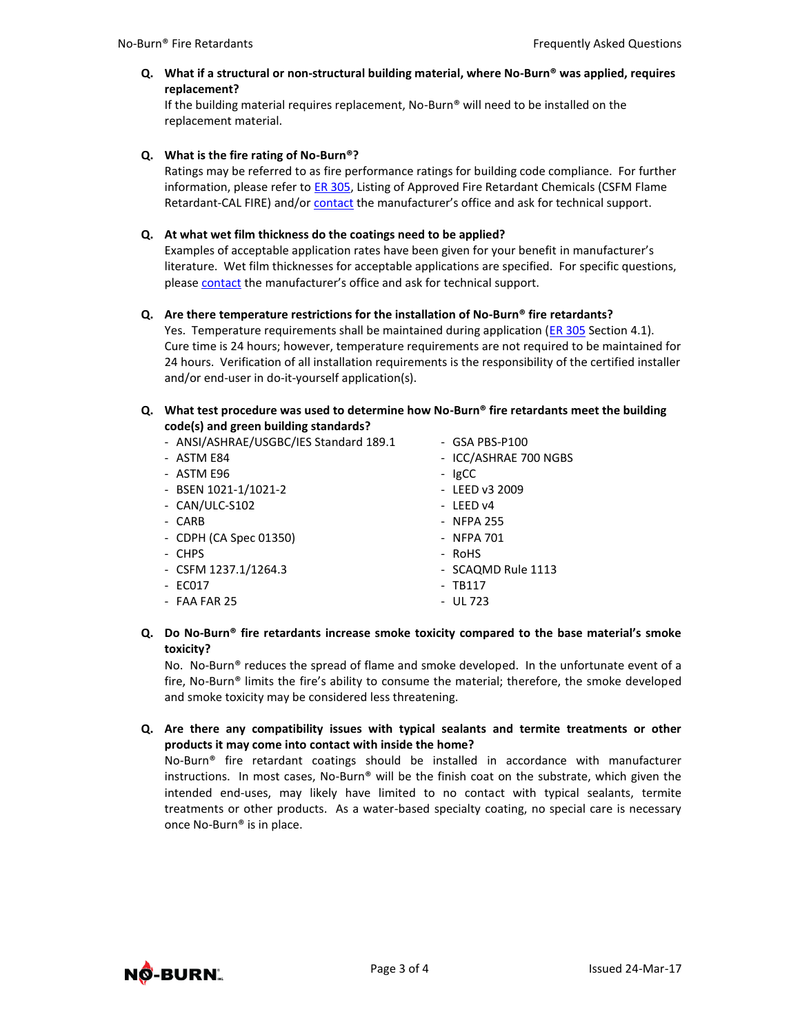**Q. What if a structural or non-structural building material, where No-Burn® was applied, requires replacement?**

If the building material requires replacement, No-Burn® will need to be installed on the replacement material.

**Q. What is the fire rating of No-Burn®?**

Ratings may be referred to as fire performance ratings for building code compliance. For further information, please refer t[o ER 305,](http://www.noburn.com/images/pdf/er305.pdf) Listing of Approved Fire Retardant Chemicals (CSFM Flame Retardant-CAL FIRE) and/or [contact](http://www.noburn.com/contact) the manufacturer's office and ask for technical support.

# **Q. At what wet film thickness do the coatings need to be applied?**

Examples of acceptable application rates have been given for your benefit in manufacturer's literature. Wet film thicknesses for acceptable applications are specified. For specific questions, please [contact](http://www.noburn.com/contact) the manufacturer's office and ask for technical support.

### **Q. Are there temperature restrictions for the installation of No-Burn® fire retardants?**

Yes. Temperature requirements shall be maintained during application [\(ER 305](http://www.noburn.com/images/pdf/er305.pdf) Section 4.1). Cure time is 24 hours; however, temperature requirements are not required to be maintained for 24 hours. Verification of all installation requirements is the responsibility of the certified installer and/or end-user in do-it-yourself application(s).

#### **Q. What test procedure was used to determine how No-Burn® fire retardants meet the building code(s) and green building standards?**

| - ANSI/ASHRAE/USGBC/IES Standard 189.1 | $-$ GSA PBS-P100      |
|----------------------------------------|-----------------------|
| - ASTM E84                             | - ICC/ASHRAE 700 NGBS |
| - ASTM E96                             | - IgCC                |
| - BSEN 1021-1/1021-2                   | - LEED v3 2009        |
| - CAN/ULC-S102                         | - LEED v4             |
| - CARB                                 | - NFPA 255            |
| - CDPH (CA Spec 01350)                 | - NFPA 701            |
| - CHPS                                 | - RoHS                |
| - CSFM $1237.1/1264.3$                 | - SCAQMD Rule 1113    |
| - EC017                                | $-$ TB117             |
| - FAA FAR 25                           | $-$ UL 723            |
|                                        |                       |

# **Q. Do No-Burn® fire retardants increase smoke toxicity compared to the base material's smoke toxicity?**

No. No-Burn® reduces the spread of flame and smoke developed. In the unfortunate event of a fire, No-Burn® limits the fire's ability to consume the material; therefore, the smoke developed and smoke toxicity may be considered less threatening.

### **Q. Are there any compatibility issues with typical sealants and termite treatments or other products it may come into contact with inside the home?**

No-Burn® fire retardant coatings should be installed in accordance with manufacturer instructions. In most cases, No-Burn® will be the finish coat on the substrate, which given the intended end-uses, may likely have limited to no contact with typical sealants, termite treatments or other products. As a water-based specialty coating, no special care is necessary once No-Burn® is in place.